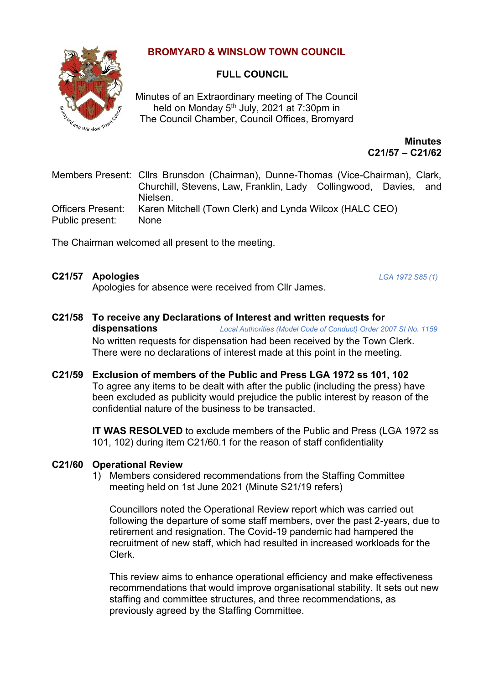# **BROMYARD & WINSLOW TOWN COUNCIL**



## **FULL COUNCIL**

Minutes of an Extraordinary meeting of The Council held on Monday 5<sup>th</sup> July, 2021 at 7:30pm in The Council Chamber, Council Offices, Bromyard

> **Minutes C21/57 – C21/62**

Members Present: Cllrs Brunsdon (Chairman), Dunne-Thomas (Vice-Chairman), Clark, Churchill, Stevens, Law, Franklin, Lady Collingwood, Davies, and Nielsen. Officers Present: Karen Mitchell (Town Clerk) and Lynda Wilcox (HALC CEO) Public present: None

The Chairman welcomed all present to the meeting.

## **C21/57 Apologies** *LGA 1972 S85 (1)*

Apologies for absence were received from Cllr James.

- **C21/58 To receive any Declarations of Interest and written requests for dispensations** *Local Authorities (Model Code of Conduct) Order 2007 SI No. 1159* No written requests for dispensation had been received by the Town Clerk. There were no declarations of interest made at this point in the meeting.
- **C21/59 Exclusion of members of the Public and Press LGA 1972 ss 101, 102** To agree any items to be dealt with after the public (including the press) have been excluded as publicity would prejudice the public interest by reason of the confidential nature of the business to be transacted.

**IT WAS RESOLVED** to exclude members of the Public and Press (LGA 1972 ss 101, 102) during item C21/60.1 for the reason of staff confidentiality

## **C21/60 Operational Review**

1) Members considered recommendations from the Staffing Committee meeting held on 1st June 2021 (Minute S21/19 refers)

Councillors noted the Operational Review report which was carried out following the departure of some staff members, over the past 2-years, due to retirement and resignation. The Covid-19 pandemic had hampered the recruitment of new staff, which had resulted in increased workloads for the Clerk.

This review aims to enhance operational efficiency and make effectiveness recommendations that would improve organisational stability. It sets out new staffing and committee structures, and three recommendations, as previously agreed by the Staffing Committee.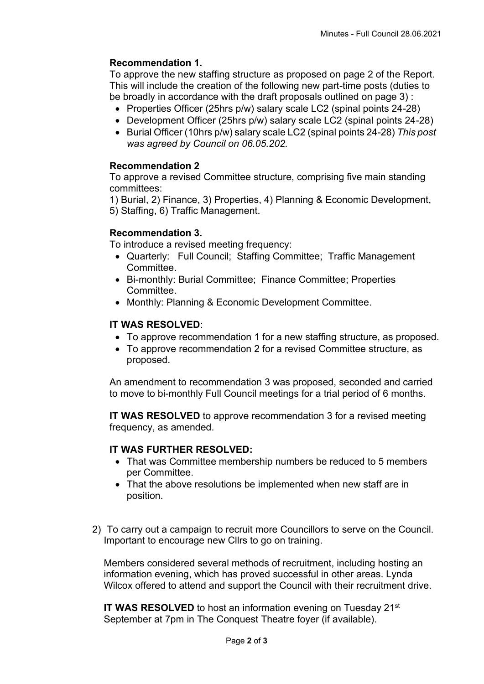## **Recommendation 1.**

To approve the new staffing structure as proposed on page 2 of the Report. This will include the creation of the following new part-time posts (duties to be broadly in accordance with the draft proposals outlined on page 3) :

- Properties Officer (25hrs p/w) salary scale LC2 (spinal points 24-28)
- Development Officer (25hrs p/w) salary scale LC2 (spinal points 24-28)
- Burial Officer (10hrs p/w) salary scale LC2 (spinal points 24-28) *This post was agreed by Council on 06.05.202.*

#### **Recommendation 2**

To approve a revised Committee structure, comprising five main standing committees:

1) Burial, 2) Finance, 3) Properties, 4) Planning & Economic Development, 5) Staffing, 6) Traffic Management.

#### **Recommendation 3.**

To introduce a revised meeting frequency:

- Quarterly: Full Council; Staffing Committee; Traffic Management Committee.
- Bi-monthly: Burial Committee; Finance Committee; Properties Committee.
- Monthly: Planning & Economic Development Committee.

## **IT WAS RESOLVED**:

- To approve recommendation 1 for a new staffing structure, as proposed.
- To approve recommendation 2 for a revised Committee structure, as proposed.

An amendment to recommendation 3 was proposed, seconded and carried to move to bi-monthly Full Council meetings for a trial period of 6 months.

**IT WAS RESOLVED** to approve recommendation 3 for a revised meeting frequency, as amended.

## **IT WAS FURTHER RESOLVED:**

- That was Committee membership numbers be reduced to 5 members per Committee.
- That the above resolutions be implemented when new staff are in position.
- 2) To carry out a campaign to recruit more Councillors to serve on the Council. Important to encourage new Cllrs to go on training.

Members considered several methods of recruitment, including hosting an information evening, which has proved successful in other areas. Lynda Wilcox offered to attend and support the Council with their recruitment drive.

**IT WAS RESOLVED** to host an information evening on Tuesday 21<sup>st</sup> September at 7pm in The Conquest Theatre foyer (if available).